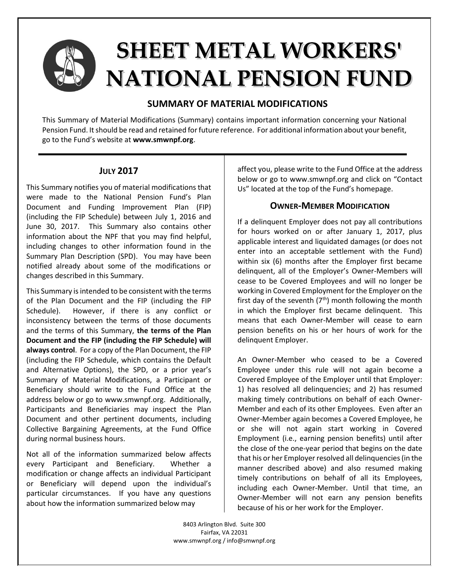

# **SHEET METAL WORKERS' NATIONAL PENSION FUND**

## **SUMMARY OF MATERIAL MODIFICATIONS**

This Summary of Material Modifications (Summary) contains important information concerning your National Pension Fund. It should be read and retained for future reference. For additional information about your benefit, go to the Fund's website at **www.smwnpf.org**.

## **JULY 2017**

This Summary notifies you of material modifications that were made to the National Pension Fund's Plan Document and Funding Improvement Plan (FIP) (including the FIP Schedule) between July 1, 2016 and June 30, 2017. This Summary also contains other information about the NPF that you may find helpful, including changes to other information found in the Summary Plan Description (SPD). You may have been notified already about some of the modifications or changes described in this Summary.

This Summary is intended to be consistent with the terms of the Plan Document and the FIP (including the FIP Schedule). However, if there is any conflict or inconsistency between the terms of those documents and the terms of this Summary, **the terms of the Plan Document and the FIP (including the FIP Schedule) will always control**. For a copy of the Plan Document, the FIP (including the FIP Schedule, which contains the Default and Alternative Options), the SPD, or a prior year's Summary of Material Modifications, a Participant or Beneficiary should write to the Fund Office at the address below or go to www.smwnpf.org. Additionally, Participants and Beneficiaries may inspect the Plan Document and other pertinent documents, including Collective Bargaining Agreements, at the Fund Office during normal business hours.

Not all of the information summarized below affects every Participant and Beneficiary. Whether a modification or change affects an individual Participant or Beneficiary will depend upon the individual's particular circumstances. If you have any questions about how the information summarized below may

affect you, please write to the Fund Office at the address below or go to www.smwnpf.org and click on "Contact Us" located at the top of the Fund's homepage.

## **OWNER-MEMBER MODIFICATION**

If a delinquent Employer does not pay all contributions for hours worked on or after January 1, 2017, plus applicable interest and liquidated damages (or does not enter into an acceptable settlement with the Fund) within six (6) months after the Employer first became delinquent, all of the Employer's Owner-Members will cease to be Covered Employees and will no longer be working in Covered Employment for the Employer on the first day of the seventh  $(7<sup>th</sup>)$  month following the month in which the Employer first became delinquent. This means that each Owner-Member will cease to earn pension benefits on his or her hours of work for the delinquent Employer.

An Owner-Member who ceased to be a Covered Employee under this rule will not again become a Covered Employee of the Employer until that Employer: 1) has resolved all delinquencies; and 2) has resumed making timely contributions on behalf of each Owner-Member and each of its other Employees. Even after an Owner-Member again becomes a Covered Employee, he or she will not again start working in Covered Employment (i.e., earning pension benefits) until after the close of the one-year period that begins on the date that his or her Employer resolved all delinquencies (in the manner described above) and also resumed making timely contributions on behalf of all its Employees, including each Owner-Member. Until that time, an Owner-Member will not earn any pension benefits because of his or her work for the Employer.

8403 Arlington Blvd. Suite 300 Fairfax, VA 22031 www.smwnpf.org / info@smwnpf.org